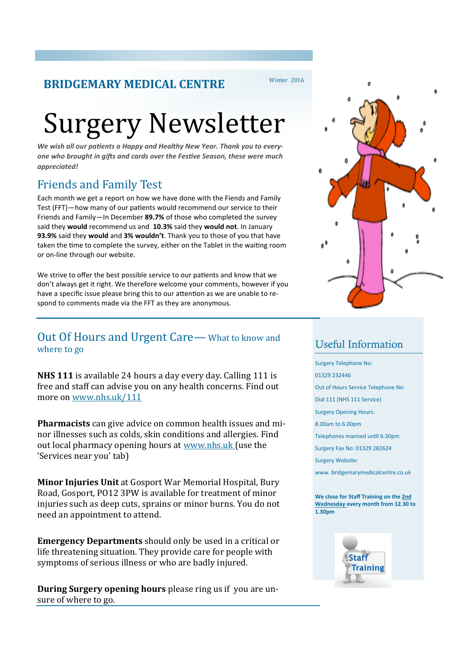#### **BRIDGEMARY MEDICAL CENTRE**

#### Winter 2016

# Surgery Newsletter

*We wish all our patients a Happy and Healthy New Year. Thank you to everyone who brought in gifts and cards over the Festive Season, these were much appreciated!*

## Friends and Family Test

Each month we get a report on how we have done with the Fiends and Family Test (FFT)—how many of our patients would recommend our service to their Friends and Family—In December **89.7%** of those who completed the survey said they **would** recommend us and **10.3%** said they **would not**. In January **93.9%** said they **would** and **3% wouldn't**. Thank you to those of you that have taken the time to complete the survey, either on the Tablet in the waiting room or on-line through our website.

We strive to offer the best possible service to our patients and know that we don't always get it right. We therefore welcome your comments, however if you have a specific issue please bring this to our attention as we are unable to respond to comments made via the FFT as they are anonymous.

#### Out Of Hours and Urgent Care—What to know and where to go

**NHS 111** is available 24 hours a day every day. Calling 111 is free and staff can advise you on any health concerns. Find out more on www.nhs.uk/111

**Pharmacists** can give advice on common health issues and minor illnesses such as colds, skin conditions and allergies. Find out local pharmacy opening hours at www.nhs.uk (use the 'Services near you' tab)

**Minor Injuries Unit** at Gosport War Memorial Hospital, Bury Road, Gosport, PO12 3PW is available for treatment of minor injuries such as deep cuts, sprains or minor burns. You do not need an appointment to attend.

**Emergency Departments** should only be used in a critical or life threatening situation. They provide care for people with symptoms of serious illness or who are badly injured.

**During Surgery opening hours** please ring us if you are unsure of where to go.



## Useful Information

Surgery Telephone No: 01329 232446 Out of Hours Service Telephone No: Dial 111 (NHS 111 Service) Surgery Opening Hours: 8.00am to 6.00pm Telephones manned until 6.30pm Surgery Fax No: 01329 282624 Surgery Website: www. bridgemarymedicalcentre.co.uk

**We close for Staff Training on the 2nd Wednesday every month from 12.30 to 1.30pm**